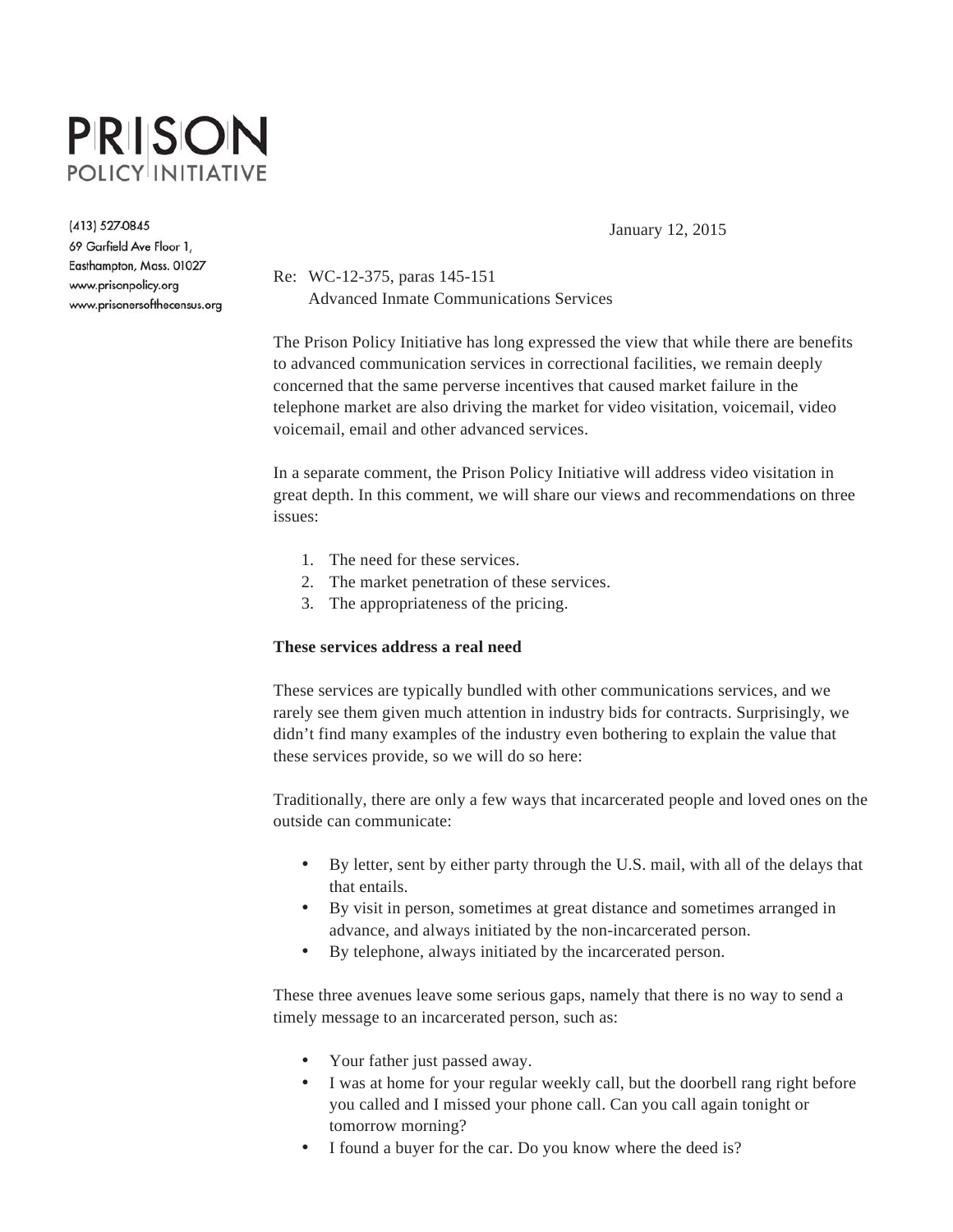# **PRISON POLICY INITIATIVE**

(413) 527-0845

69 Garfield Ave Floor 1, Easthampton, Mass. 01027 www.prisonpolicy.org www.prisonersofthecensus.org January 12, 2015

Re: WC-12-375, paras 145-151 Advanced Inmate Communications Services

The Prison Policy Initiative has long expressed the view that while there are benefits to advanced communication services in correctional facilities, we remain deeply concerned that the same perverse incentives that caused market failure in the telephone market are also driving the market for video visitation, voicemail, video voicemail, email and other advanced services.

In a separate comment, the Prison Policy Initiative will address video visitation in great depth. In this comment, we will share our views and recommendations on three issues:

- 1. The need for these services.
- 2. The market penetration of these services.
- 3. The appropriateness of the pricing.

## **These services address a real need**

These services are typically bundled with other communications services, and we rarely see them given much attention in industry bids for contracts. Surprisingly, we didn't find many examples of the industry even bothering to explain the value that these services provide, so we will do so here:

Traditionally, there are only a few ways that incarcerated people and loved ones on the outside can communicate:

- By letter, sent by either party through the U.S. mail, with all of the delays that that entails.
- By visit in person, sometimes at great distance and sometimes arranged in advance, and always initiated by the non-incarcerated person.
- By telephone, always initiated by the incarcerated person.

These three avenues leave some serious gaps, namely that there is no way to send a timely message to an incarcerated person, such as:

- Your father just passed away.
- I was at home for your regular weekly call, but the doorbell rang right before you called and I missed your phone call. Can you call again tonight or tomorrow morning?
- I found a buyer for the car. Do you know where the deed is?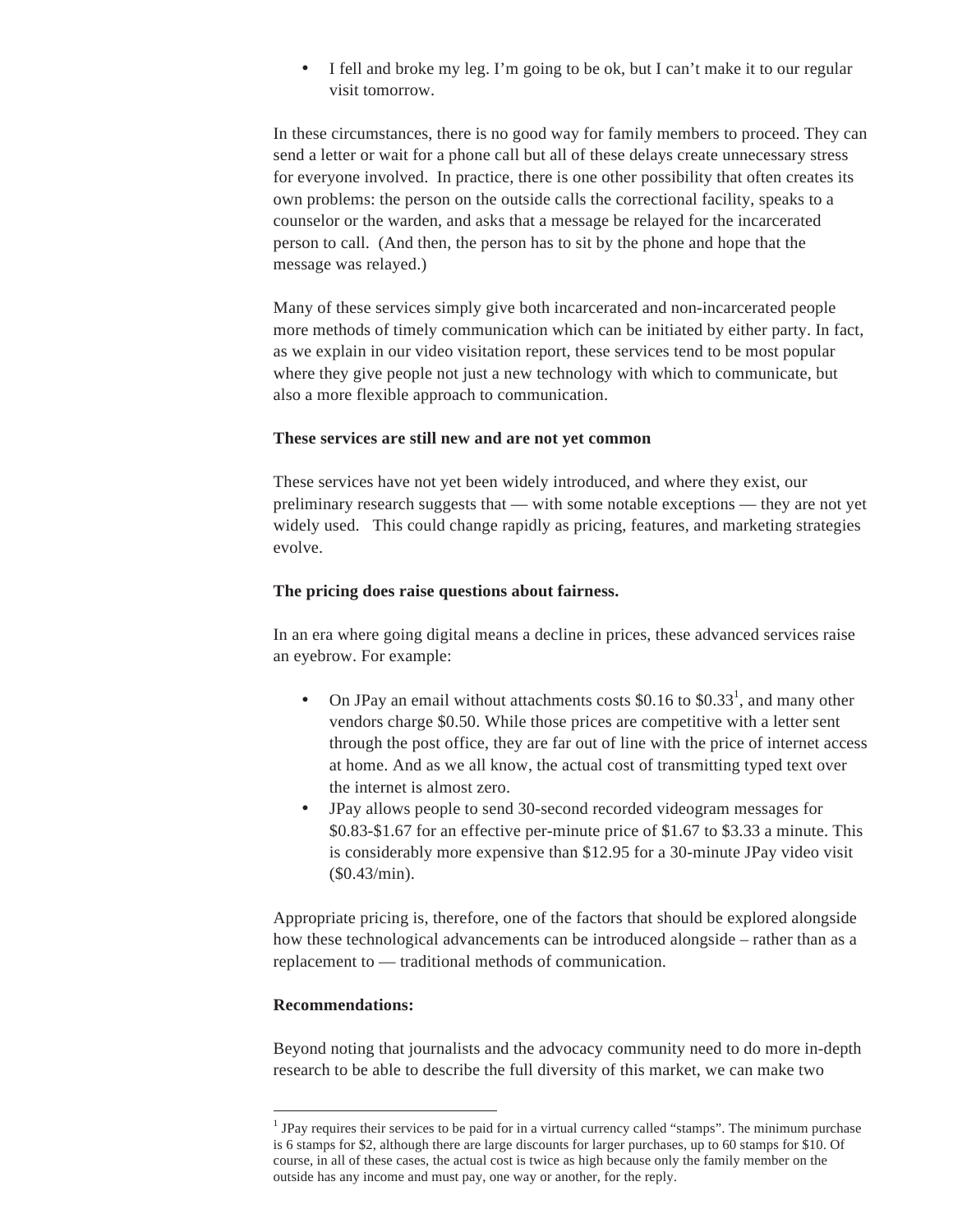• I fell and broke my leg. I'm going to be ok, but I can't make it to our regular visit tomorrow.

In these circumstances, there is no good way for family members to proceed. They can send a letter or wait for a phone call but all of these delays create unnecessary stress for everyone involved. In practice, there is one other possibility that often creates its own problems: the person on the outside calls the correctional facility, speaks to a counselor or the warden, and asks that a message be relayed for the incarcerated person to call. (And then, the person has to sit by the phone and hope that the message was relayed.)

Many of these services simply give both incarcerated and non-incarcerated people more methods of timely communication which can be initiated by either party. In fact, as we explain in our video visitation report, these services tend to be most popular where they give people not just a new technology with which to communicate, but also a more flexible approach to communication.

#### **These services are still new and are not yet common**

These services have not yet been widely introduced, and where they exist, our preliminary research suggests that — with some notable exceptions — they are not yet widely used. This could change rapidly as pricing, features, and marketing strategies evolve.

## **The pricing does raise questions about fairness.**

In an era where going digital means a decline in prices, these advanced services raise an eyebrow. For example:

- On JPay an email without attachments costs  $$0.16$  to  $$0.33<sup>1</sup>$ , and many other vendors charge \$0.50. While those prices are competitive with a letter sent through the post office, they are far out of line with the price of internet access at home. And as we all know, the actual cost of transmitting typed text over the internet is almost zero.
- JPay allows people to send 30-second recorded videogram messages for \$0.83-\$1.67 for an effective per-minute price of \$1.67 to \$3.33 a minute. This is considerably more expensive than \$12.95 for a 30-minute JPay video visit (\$0.43/min).

Appropriate pricing is, therefore, one of the factors that should be explored alongside how these technological advancements can be introduced alongside – rather than as a replacement to — traditional methods of communication.

# **Recommendations:**

 $\overline{a}$ 

Beyond noting that journalists and the advocacy community need to do more in-depth research to be able to describe the full diversity of this market, we can make two

<sup>&</sup>lt;sup>1</sup> JPay requires their services to be paid for in a virtual currency called "stamps". The minimum purchase is 6 stamps for \$2, although there are large discounts for larger purchases, up to 60 stamps for \$10. Of course, in all of these cases, the actual cost is twice as high because only the family member on the outside has any income and must pay, one way or another, for the reply.